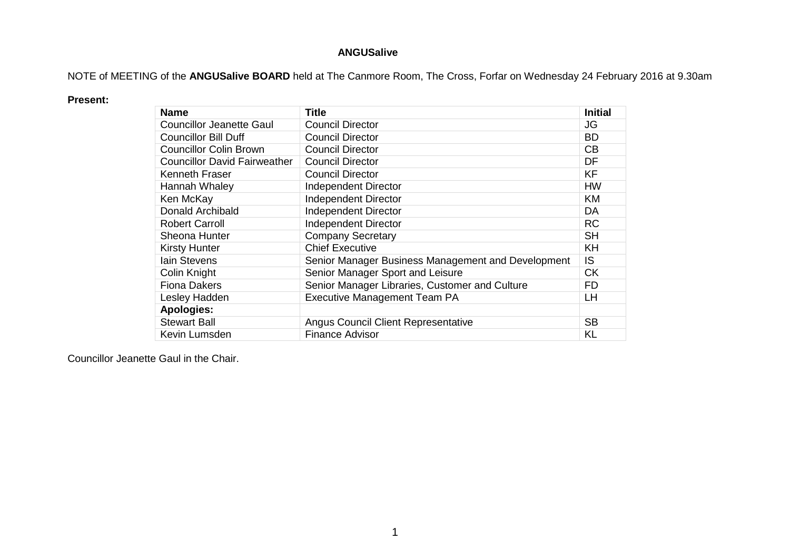## **ANGUSalive**

NOTE of MEETING of the **ANGUSalive BOARD** held at The Canmore Room, The Cross, Forfar on Wednesday 24 February 2016 at 9.30am

## **Present:**

| <b>Name</b>                         | Title                                              | <b>Initial</b> |
|-------------------------------------|----------------------------------------------------|----------------|
| <b>Councillor Jeanette Gaul</b>     | <b>Council Director</b>                            | JG             |
| <b>Councillor Bill Duff</b>         | <b>Council Director</b>                            | <b>BD</b>      |
| <b>Councillor Colin Brown</b>       | <b>Council Director</b>                            | CB             |
| <b>Councillor David Fairweather</b> | <b>Council Director</b>                            | DF             |
| Kenneth Fraser                      | <b>Council Director</b>                            | <b>KF</b>      |
| Hannah Whaley                       | <b>Independent Director</b>                        | <b>HW</b>      |
| Ken McKay                           | <b>Independent Director</b>                        | <b>KM</b>      |
| Donald Archibald                    | <b>Independent Director</b>                        | DA             |
| <b>Robert Carroll</b>               | <b>Independent Director</b>                        | <b>RC</b>      |
| Sheona Hunter                       | <b>Company Secretary</b>                           | <b>SH</b>      |
| <b>Kirsty Hunter</b>                | <b>Chief Executive</b>                             | KH             |
| <b>lain Stevens</b>                 | Senior Manager Business Management and Development | IS.            |
| Colin Knight                        | Senior Manager Sport and Leisure                   | <b>CK</b>      |
| <b>Fiona Dakers</b>                 | Senior Manager Libraries, Customer and Culture     | <b>FD</b>      |
| Lesley Hadden                       | <b>Executive Management Team PA</b>                | LН             |
| <b>Apologies:</b>                   |                                                    |                |
| <b>Stewart Ball</b>                 | Angus Council Client Representative                | <b>SB</b>      |
| Kevin Lumsden                       | <b>Finance Advisor</b>                             | KL             |

Councillor Jeanette Gaul in the Chair.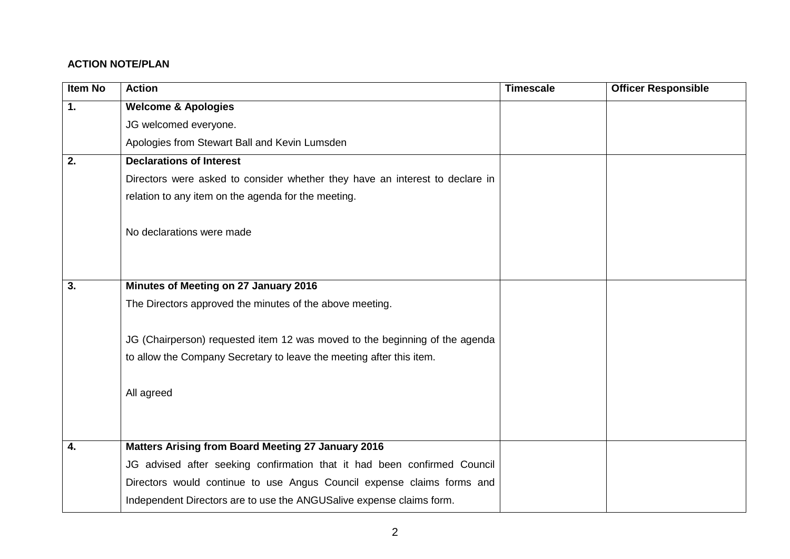## **ACTION NOTE/PLAN**

| <b>Item No</b> | <b>Action</b>                                                                | <b>Timescale</b> | <b>Officer Responsible</b> |
|----------------|------------------------------------------------------------------------------|------------------|----------------------------|
| 1.             | <b>Welcome &amp; Apologies</b>                                               |                  |                            |
|                | JG welcomed everyone.                                                        |                  |                            |
|                | Apologies from Stewart Ball and Kevin Lumsden                                |                  |                            |
| 2.             | <b>Declarations of Interest</b>                                              |                  |                            |
|                | Directors were asked to consider whether they have an interest to declare in |                  |                            |
|                | relation to any item on the agenda for the meeting.                          |                  |                            |
|                |                                                                              |                  |                            |
|                | No declarations were made                                                    |                  |                            |
|                |                                                                              |                  |                            |
|                |                                                                              |                  |                            |
| 3.             | Minutes of Meeting on 27 January 2016                                        |                  |                            |
|                | The Directors approved the minutes of the above meeting.                     |                  |                            |
|                |                                                                              |                  |                            |
|                | JG (Chairperson) requested item 12 was moved to the beginning of the agenda  |                  |                            |
|                | to allow the Company Secretary to leave the meeting after this item.         |                  |                            |
|                |                                                                              |                  |                            |
|                | All agreed                                                                   |                  |                            |
|                |                                                                              |                  |                            |
| 4.             | <b>Matters Arising from Board Meeting 27 January 2016</b>                    |                  |                            |
|                | JG advised after seeking confirmation that it had been confirmed Council     |                  |                            |
|                |                                                                              |                  |                            |
|                | Directors would continue to use Angus Council expense claims forms and       |                  |                            |
|                | Independent Directors are to use the ANGUSalive expense claims form.         |                  |                            |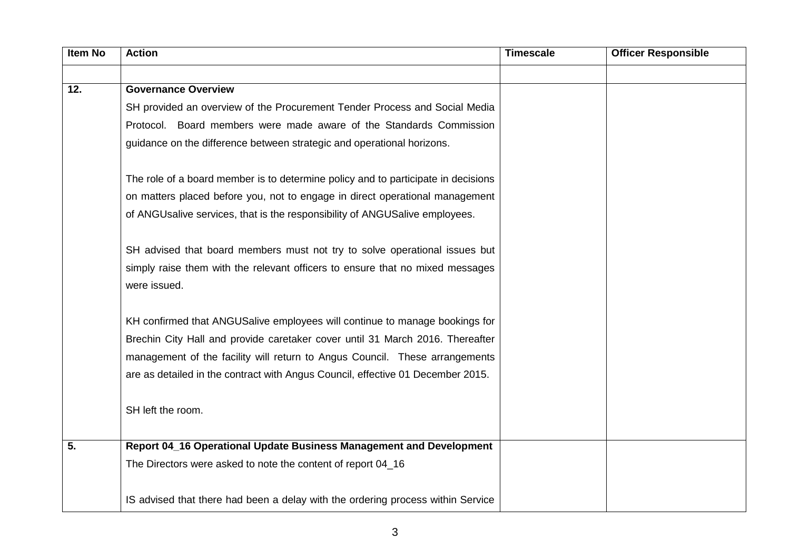| <b>Item No</b> | <b>Action</b>                                                                     | <b>Timescale</b> | <b>Officer Responsible</b> |
|----------------|-----------------------------------------------------------------------------------|------------------|----------------------------|
|                |                                                                                   |                  |                            |
| 12.            | <b>Governance Overview</b>                                                        |                  |                            |
|                | SH provided an overview of the Procurement Tender Process and Social Media        |                  |                            |
|                | Protocol. Board members were made aware of the Standards Commission               |                  |                            |
|                | guidance on the difference between strategic and operational horizons.            |                  |                            |
|                |                                                                                   |                  |                            |
|                | The role of a board member is to determine policy and to participate in decisions |                  |                            |
|                | on matters placed before you, not to engage in direct operational management      |                  |                            |
|                | of ANGUsalive services, that is the responsibility of ANGUSalive employees.       |                  |                            |
|                |                                                                                   |                  |                            |
|                | SH advised that board members must not try to solve operational issues but        |                  |                            |
|                | simply raise them with the relevant officers to ensure that no mixed messages     |                  |                            |
|                | were issued.                                                                      |                  |                            |
|                |                                                                                   |                  |                            |
|                | KH confirmed that ANGUSalive employees will continue to manage bookings for       |                  |                            |
|                | Brechin City Hall and provide caretaker cover until 31 March 2016. Thereafter     |                  |                            |
|                | management of the facility will return to Angus Council. These arrangements       |                  |                            |
|                | are as detailed in the contract with Angus Council, effective 01 December 2015.   |                  |                            |
|                |                                                                                   |                  |                            |
|                | SH left the room.                                                                 |                  |                            |
|                |                                                                                   |                  |                            |
| 5.             | Report 04_16 Operational Update Business Management and Development               |                  |                            |
|                | The Directors were asked to note the content of report 04_16                      |                  |                            |
|                |                                                                                   |                  |                            |
|                | IS advised that there had been a delay with the ordering process within Service   |                  |                            |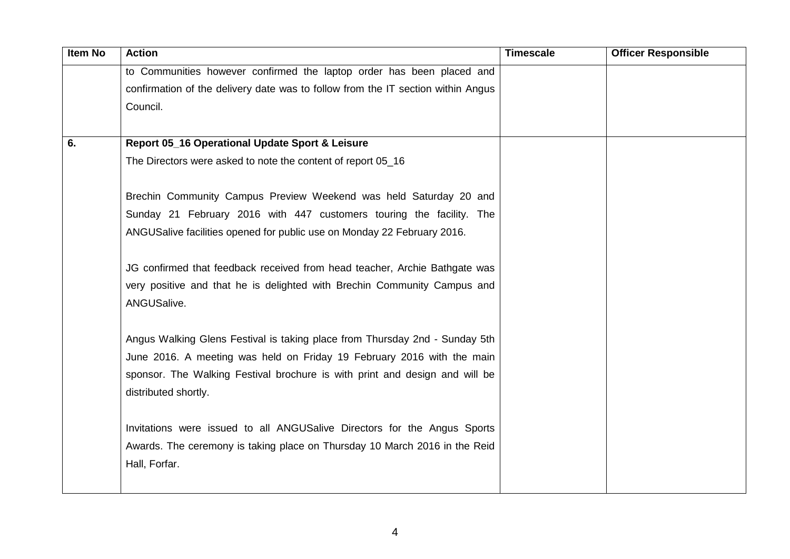| Item No | <b>Action</b>                                                                    | <b>Timescale</b> | <b>Officer Responsible</b> |
|---------|----------------------------------------------------------------------------------|------------------|----------------------------|
|         | to Communities however confirmed the laptop order has been placed and            |                  |                            |
|         | confirmation of the delivery date was to follow from the IT section within Angus |                  |                            |
|         | Council.                                                                         |                  |                            |
|         |                                                                                  |                  |                            |
| 6.      | Report 05_16 Operational Update Sport & Leisure                                  |                  |                            |
|         | The Directors were asked to note the content of report 05_16                     |                  |                            |
|         |                                                                                  |                  |                            |
|         | Brechin Community Campus Preview Weekend was held Saturday 20 and                |                  |                            |
|         | Sunday 21 February 2016 with 447 customers touring the facility. The             |                  |                            |
|         | ANGUSalive facilities opened for public use on Monday 22 February 2016.          |                  |                            |
|         |                                                                                  |                  |                            |
|         | JG confirmed that feedback received from head teacher, Archie Bathgate was       |                  |                            |
|         | very positive and that he is delighted with Brechin Community Campus and         |                  |                            |
|         | ANGUSalive.                                                                      |                  |                            |
|         |                                                                                  |                  |                            |
|         | Angus Walking Glens Festival is taking place from Thursday 2nd - Sunday 5th      |                  |                            |
|         | June 2016. A meeting was held on Friday 19 February 2016 with the main           |                  |                            |
|         | sponsor. The Walking Festival brochure is with print and design and will be      |                  |                            |
|         | distributed shortly.                                                             |                  |                            |
|         |                                                                                  |                  |                            |
|         | Invitations were issued to all ANGUSalive Directors for the Angus Sports         |                  |                            |
|         | Awards. The ceremony is taking place on Thursday 10 March 2016 in the Reid       |                  |                            |
|         | Hall, Forfar.                                                                    |                  |                            |
|         |                                                                                  |                  |                            |
|         |                                                                                  |                  |                            |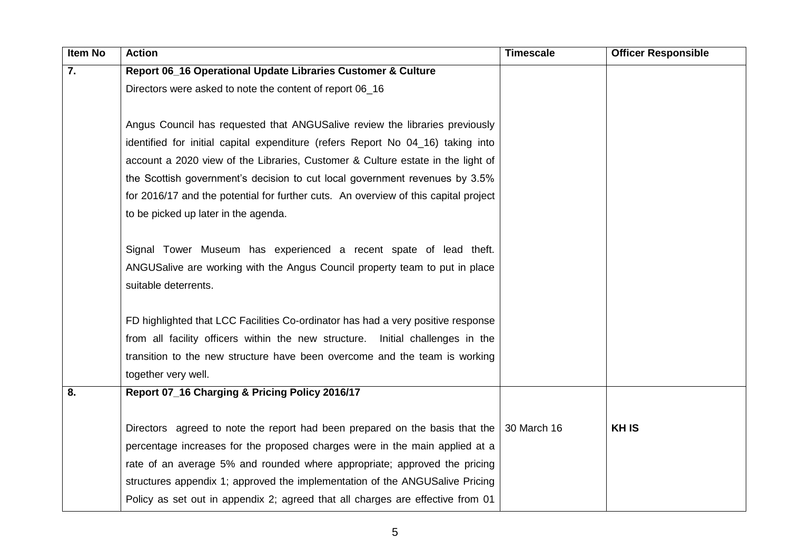| <b>Item No</b> | <b>Action</b>                                                                                   | <b>Timescale</b> | <b>Officer Responsible</b> |
|----------------|-------------------------------------------------------------------------------------------------|------------------|----------------------------|
| 7.             | Report 06_16 Operational Update Libraries Customer & Culture                                    |                  |                            |
|                | Directors were asked to note the content of report 06_16                                        |                  |                            |
|                |                                                                                                 |                  |                            |
|                | Angus Council has requested that ANGUSalive review the libraries previously                     |                  |                            |
|                | identified for initial capital expenditure (refers Report No 04_16) taking into                 |                  |                            |
|                | account a 2020 view of the Libraries, Customer & Culture estate in the light of                 |                  |                            |
|                | the Scottish government's decision to cut local government revenues by 3.5%                     |                  |                            |
|                | for 2016/17 and the potential for further cuts. An overview of this capital project             |                  |                            |
|                | to be picked up later in the agenda.                                                            |                  |                            |
|                |                                                                                                 |                  |                            |
|                | Signal Tower Museum has experienced a recent spate of lead theft.                               |                  |                            |
|                | ANGUSalive are working with the Angus Council property team to put in place                     |                  |                            |
|                | suitable deterrents.                                                                            |                  |                            |
|                |                                                                                                 |                  |                            |
|                | FD highlighted that LCC Facilities Co-ordinator has had a very positive response                |                  |                            |
|                | from all facility officers within the new structure. Initial challenges in the                  |                  |                            |
|                | transition to the new structure have been overcome and the team is working                      |                  |                            |
|                | together very well.                                                                             |                  |                            |
| 8.             | Report 07_16 Charging & Pricing Policy 2016/17                                                  |                  |                            |
|                |                                                                                                 |                  |                            |
|                | Directors agreed to note the report had been prepared on the basis that the $\vert$ 30 March 16 |                  | <b>KHIS</b>                |
|                | percentage increases for the proposed charges were in the main applied at a                     |                  |                            |
|                | rate of an average 5% and rounded where appropriate; approved the pricing                       |                  |                            |
|                | structures appendix 1; approved the implementation of the ANGUSalive Pricing                    |                  |                            |
|                | Policy as set out in appendix 2; agreed that all charges are effective from 01                  |                  |                            |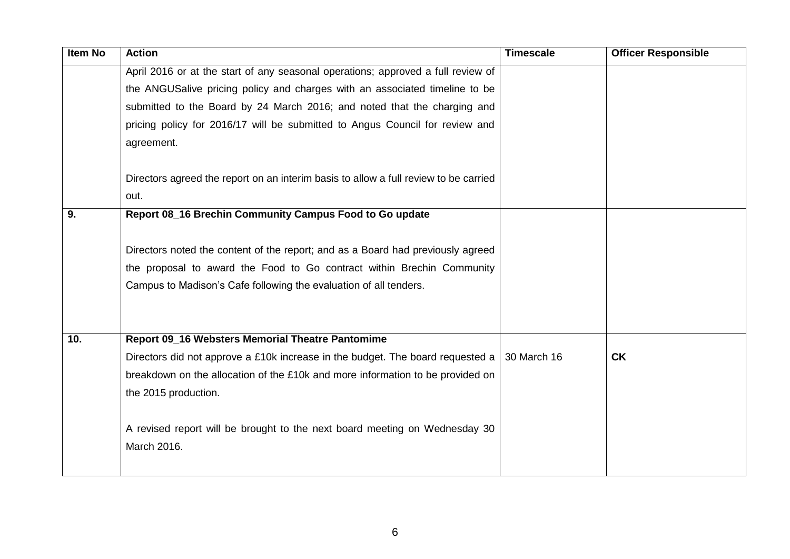| Item No | <b>Action</b>                                                                                | <b>Timescale</b> | <b>Officer Responsible</b> |
|---------|----------------------------------------------------------------------------------------------|------------------|----------------------------|
|         | April 2016 or at the start of any seasonal operations; approved a full review of             |                  |                            |
|         | the ANGUSalive pricing policy and charges with an associated timeline to be                  |                  |                            |
|         | submitted to the Board by 24 March 2016; and noted that the charging and                     |                  |                            |
|         | pricing policy for 2016/17 will be submitted to Angus Council for review and                 |                  |                            |
|         | agreement.                                                                                   |                  |                            |
|         | Directors agreed the report on an interim basis to allow a full review to be carried<br>out. |                  |                            |
| 9.      | Report 08_16 Brechin Community Campus Food to Go update                                      |                  |                            |
|         |                                                                                              |                  |                            |
|         | Directors noted the content of the report; and as a Board had previously agreed              |                  |                            |
|         | the proposal to award the Food to Go contract within Brechin Community                       |                  |                            |
|         | Campus to Madison's Cafe following the evaluation of all tenders.                            |                  |                            |
|         |                                                                                              |                  |                            |
| 10.     | Report 09_16 Websters Memorial Theatre Pantomime                                             |                  |                            |
|         | Directors did not approve a £10k increase in the budget. The board requested a               | 30 March 16      | <b>CK</b>                  |
|         | breakdown on the allocation of the £10k and more information to be provided on               |                  |                            |
|         | the 2015 production.                                                                         |                  |                            |
|         |                                                                                              |                  |                            |
|         | A revised report will be brought to the next board meeting on Wednesday 30                   |                  |                            |
|         | March 2016.                                                                                  |                  |                            |
|         |                                                                                              |                  |                            |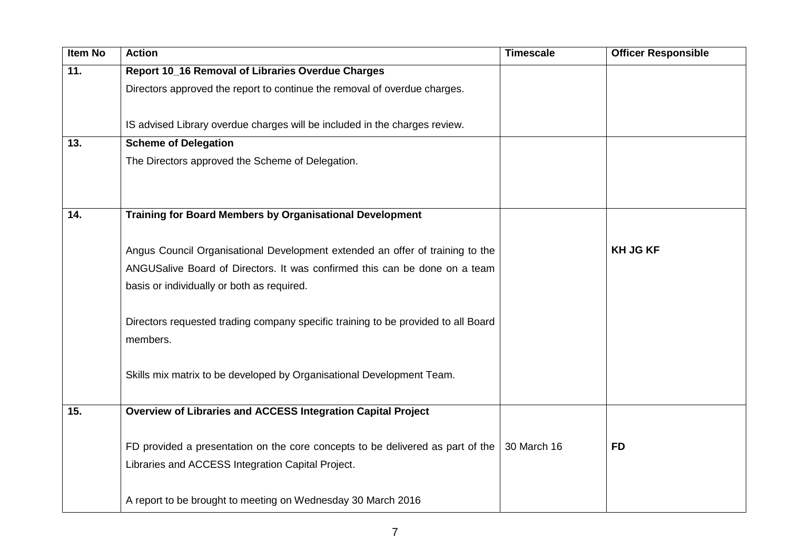| <b>Item No</b> | <b>Action</b>                                                                     | <b>Timescale</b> | <b>Officer Responsible</b> |
|----------------|-----------------------------------------------------------------------------------|------------------|----------------------------|
| 11.            | Report 10_16 Removal of Libraries Overdue Charges                                 |                  |                            |
|                | Directors approved the report to continue the removal of overdue charges.         |                  |                            |
|                |                                                                                   |                  |                            |
|                | IS advised Library overdue charges will be included in the charges review.        |                  |                            |
| 13.            | <b>Scheme of Delegation</b>                                                       |                  |                            |
|                | The Directors approved the Scheme of Delegation.                                  |                  |                            |
|                |                                                                                   |                  |                            |
|                |                                                                                   |                  |                            |
| 14.            | <b>Training for Board Members by Organisational Development</b>                   |                  |                            |
|                |                                                                                   |                  |                            |
|                | Angus Council Organisational Development extended an offer of training to the     |                  | <b>KH JG KF</b>            |
|                | ANGUSalive Board of Directors. It was confirmed this can be done on a team        |                  |                            |
|                | basis or individually or both as required.                                        |                  |                            |
|                |                                                                                   |                  |                            |
|                | Directors requested trading company specific training to be provided to all Board |                  |                            |
|                | members.                                                                          |                  |                            |
|                |                                                                                   |                  |                            |
|                | Skills mix matrix to be developed by Organisational Development Team.             |                  |                            |
|                |                                                                                   |                  |                            |
| 15.            | Overview of Libraries and ACCESS Integration Capital Project                      |                  |                            |
|                |                                                                                   |                  |                            |
|                | FD provided a presentation on the core concepts to be delivered as part of the    | 30 March 16      | <b>FD</b>                  |
|                | Libraries and ACCESS Integration Capital Project.                                 |                  |                            |
|                |                                                                                   |                  |                            |
|                | A report to be brought to meeting on Wednesday 30 March 2016                      |                  |                            |